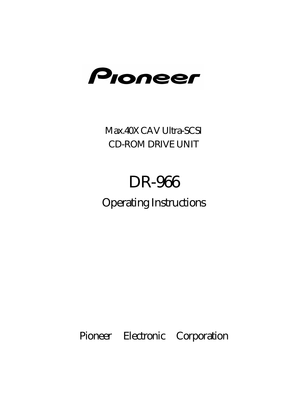

Max.40X CAV Ultra-SCSI CD-ROM DRIVE UNIT

# DR-966

Operating Instructions

Pioneer Electronic Corporation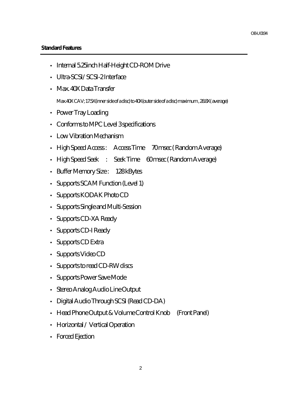#### **Standard Features**

- Internal 5.25inch Half-Height CD-ROM Drive
- Ultra-SCSI/SCSI-2 Interface
- Max. 40X Data Transfer

Max.40X CAV; 17.5X(inner side of a disc) to 40X(outer side of a disc) maximum , 28.8X( average)

- Power Tray Loading
- Conforms to MPC Level 3 specifications
- Low Vibration Mechanism
- High Speed Access : Access Time 70 msec ( Random Average)
- High Speed Seek : Seek Time 60 msec (Random Average)
- Buffer Memory Size : 128 kBytes
- Supports SCAM Function (Level 1)
- Supports KODAK Photo CD
- Supports Single and Multi-Session
- Supports CD-XA Ready
- Supports CD-I Ready
- Supports CD Extra
- Supports Video CD
- Supports to read CD-RW discs
- Supports Power Save Mode
- Stereo Analog Audio Line Output
- Digital Audio Through SCSI (Read CD-DA)
- Head Phone Output & Volume Control Knob (Front Panel)
- Horizontal / Vertical Operation
- Forced Ejection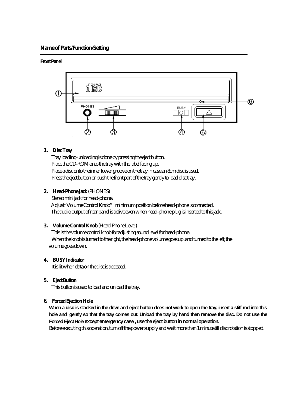#### **Name of Parts/Function/Setting**

#### **Front Panel**



#### 1. Disc Tray

 Tray loading-unloading is done by pressing the eject button. Place the CD-ROM onto the tray with the label facing up. Place a disc onto the inner lower groove on the tray in case an 8cm disc is used. Press the eject button or push the front part of the tray gently to load disc tray.

#### **2 . Head-Phone Jack** (PHONES)

 Stereo mini jack for head-phone. Adjust"Volume Control Knob" minimum position before head-phone is connected. The audio output of rear panel is active even when head-phone plug is inserted to this jack.

#### **3 . Volume Control Knob** (Head-Phone Level)

 This is the volume control knob for adjusting sound level for head-phone. When the knob is turned to the right, the head-phone volume goes up, and turned to the left, the volume goes down.

#### **4 . BUSY Indicator**

It is lit when data on the disc is accessed.

#### **5 . Eject Button**

This button is used toload and unload the tray.

#### **6. Forced Ejection Hole**

**When a disc is stacked in the drive and eject button does not work to open the tray, insert a stiff rod into this hole and gently so that the tray comes out. Unload the tray by hand then remove the disc. Do not use the Forced Eject Hole except emergency case , use the eject button in normal operation.**

Before executing this operation, turn off the power supply and wait more than 1 minute till disc rotation is stopped.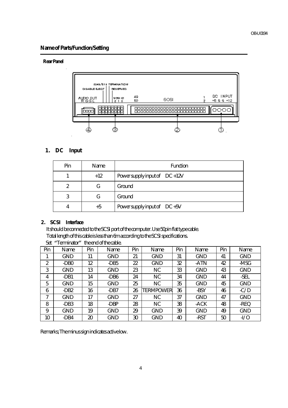#### **Name of Parts/Function/Setting**

#### **Rear Panel**



#### 1. DC Input

| Pin | Name  | <b>Function</b>                |
|-----|-------|--------------------------------|
|     | $+12$ | Power supply input of $DC+12V$ |
|     | G     | Ground                         |
| 3   | G     | Ground                         |
|     | $+5$  | Power supply input of DC+5V    |

#### **2 . SCSI Interface**

 It should be connected to the SCSI port of the computer. Use 50pin flat type cable. Total length of this cable is less than 6m according to the SCSI specifications.

| Set | "Terminator"     |     | the end of the cable. |     |                  |     |            |     |            |
|-----|------------------|-----|-----------------------|-----|------------------|-----|------------|-----|------------|
| Pin | Name             | Pin | Name                  | Pin | Name             | Pin | Name       | Pin | Name       |
|     | <b>GND</b>       | 11  | <b>GND</b>            | 21  | <b>GND</b>       | 31  | <b>GND</b> | 41  | <b>GND</b> |
| 2   | -DB <sub>0</sub> | 12  | -DB5                  | 22  | <b>GND</b>       | 32  | -ATN       | 42  | -MSG       |
| 3   | <b>GND</b>       | 13  | <b>GND</b>            | 23  | NC               | 33  | <b>GND</b> | 43  | <b>GND</b> |
| 4   | -DB1             | 14  | -DB <sub>6</sub>      | 24  | NC               | 34  | <b>GND</b> | 44  | -SEL       |
| 5   | GND              | 15  | <b>GND</b>            | 25  | NC               | 35  | <b>GND</b> | 45  | <b>GND</b> |
| 6   | -DB <sub>2</sub> | 16  | -DB7                  | 26  | <b>TERMPOWER</b> | 36  | -BSY       | 46  | $-C/D$     |
| 7   | GND              | 17  | <b>GND</b>            | 27  | NC               | 37  | <b>GND</b> | 47  | <b>GND</b> |
| 8   | -DB <sub>3</sub> | 18  | -DBP                  | 28  | NC               | 38  | -ACK       | 48  | -REQ       |
| 9   | GND              | 19  | <b>GND</b>            | 29  | <b>GND</b>       | 39  | <b>GND</b> | 49  | <b>GND</b> |
| 10  | -DB4             | 20  | <b>GND</b>            | 30  | <b>GND</b>       | 40  | -RST       | 50  | $-VO$      |

Remarks; The minus sign indicates active low.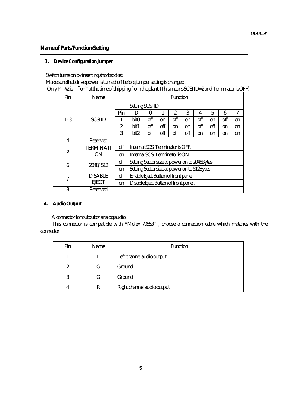#### **Name of Parts/Function/Setting**

#### **3 . Device Configuration Jumper**

Switch turns on by inserting short socket.

Make sure that drive power is turned off before jumper setting is changed.

Only Pin#2 is ``on`` at the time of shipping from the plant. (This means SCSI ID=2 and Terminator is OFF)

| Pin     | Name                          | <b>Function</b> |                                              |     |               |                |     |     |     |     |               |
|---------|-------------------------------|-----------------|----------------------------------------------|-----|---------------|----------------|-----|-----|-----|-----|---------------|
|         |                               |                 | <b>Setting SCSIID</b>                        |     |               |                |     |     |     |     |               |
|         |                               | Pin             | ID                                           | 0   |               | $\overline{2}$ | 3   | 4   | 5   | 6   | 7             |
| $1 - 3$ | <b>SCSIID</b>                 |                 | bit0                                         | off | <sub>on</sub> | off            | on  | off | on  | off | <sub>on</sub> |
|         |                               | 2               | bit1                                         | off | off           | <sub>on</sub>  | on  | off | off | on  | <sub>on</sub> |
|         |                               | 3               | bit <sub>2</sub>                             | off | off           | off            | off | on  | on  | on  | <sub>on</sub> |
| 4       | <b>Reserved</b>               |                 |                                              |     |               |                |     |     |     |     |               |
| 5       | <b>TERMINATI</b><br><b>ON</b> | off             | Internal SCSI Terminator is OFF.             |     |               |                |     |     |     |     |               |
|         |                               | <sub>on</sub>   | Internal SCSI Terminator is ON.              |     |               |                |     |     |     |     |               |
| 6       | 2048/512                      | off             | Setting Sector size at power on to 2048Bytes |     |               |                |     |     |     |     |               |
|         |                               | on              | Setting Sector size at power on to 512Bytes  |     |               |                |     |     |     |     |               |
| 7       | <b>DISABLE</b>                | off             | Enable Eject Button of front panel.          |     |               |                |     |     |     |     |               |
|         | <b>EJECT</b>                  | on              | Disable Eject Button of front panel.         |     |               |                |     |     |     |     |               |
| 8       | Reserved                      |                 |                                              |     |               |                |     |     |     |     |               |

#### **4 . Audio Output**

A connector for output of analog audio.

 This connector is compatible with "Molex 70553" , choose a connection cable which matches with the connector.

| Pin | Name | <b>Function</b>            |  |  |
|-----|------|----------------------------|--|--|
|     |      | Left channel audio output  |  |  |
| 2   | G    | Ground                     |  |  |
| 3   |      | Ground                     |  |  |
|     | R    | Right channel audio output |  |  |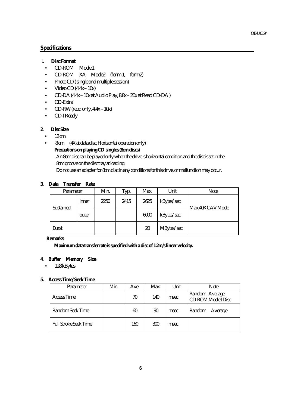#### **Specifications**

#### **1. Disc Format**

- CD-ROM Mode 1
- CD-ROM XA Mode2 (form 1, form2)
- Photo CD ( single and multiple session)
- Video CD (4.4x 10x)
- CD-DA (4.4x 10x at Audio Play, 8.8x 20x at Read CD-DA )
- CD-Extra
- CD-RW (read only,  $4.4x 10x$ )
- CD-I Ready

#### **2. Disc Size**

- $\bullet$  12 cm
- 8 cm (4X at data disc, Horizontal operation only)

#### **Precautions on playing CD singles (8cm discs)**

An 8cm disc can be played only when the drive is horizontal condition and the disc is set in the 8cm groove on the disc tray at loading.

Do not use an adapter for 8cm disc in any conditions for this drive, or malfunction may occur.

#### **3. Data Transfer Rate**

| Parameter    |       | Min. | Typ. | Max. | Unit       | Note             |
|--------------|-------|------|------|------|------------|------------------|
| Sustained    | inner | 2250 | 2415 | 2625 | kBytes/sec | Max.40X CAV Mode |
|              | outer |      |      | 6000 | kBytes/sec |                  |
| <b>Burst</b> |       |      |      | 20   | MBytes/sec |                  |

#### **Remarks**

 **Maximum data transfer rate is specified with a disc of 1.2m/s linear velocity.**

#### **4. Buffer Memory Size**

• 128 kBytes

#### **5. Access Time/ Seek Time**

| Parameter                    | Min. | Ave. | Max. | Unit | <b>Note</b>                         |
|------------------------------|------|------|------|------|-------------------------------------|
| Access Time                  |      | 70   | 140  | msec | Random Average<br>CD-ROM Mode1 Disc |
| Random Seek Time             |      | 60   | 90   | msec | Random<br>Average                   |
| <b>Full Stroke Seek Time</b> |      | 160  | 300  | msec |                                     |